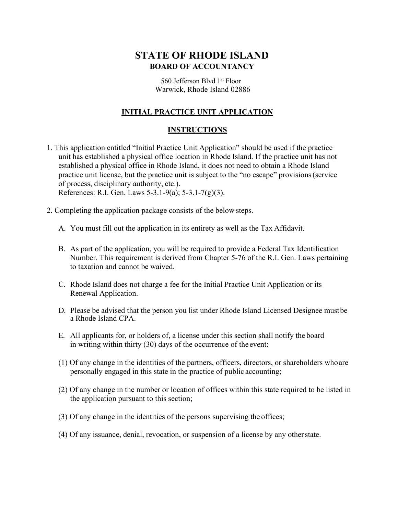# **STATE OF RHODE ISLAND BOARD OF ACCOUNTANCY**

 560 Jefferson Blvd 1st Floor Warwick, Rhode Island 02886

### **INITIAL PRACTICE UNIT APPLICATION**

#### **INSTRUCTIONS**

- 1. This application entitled "Initial Practice Unit Application" should be used if the practice unit has established a physical office location in Rhode Island. If the practice unit has not established a physical office in Rhode Island, it does not need to obtain a Rhode Island practice unit license, but the practice unit is subject to the "no escape" provisions (service of process, disciplinary authority, etc.). [References: R.I. Gen. Laws 5-3.1-9\(a\); 5-3.1-7\(g\)\(3\).](http://webserver.rilin.state.ri.us/Statutes/TITLE5/5-3.1/INDEX.HTM)
- 2. Completing the application package consists of the below steps.
	- A. You must fill out the application in its entirety as well as the Tax Affidavit.
	- B. As part of the application, you will be required to provide a Federal Tax Identification Number. This requirement is derived from Chapter 5-76 of the R.I. Gen. Laws pertaining to taxation and cannot be waived.
	- C. Rhode Island does not charge a fee for the Initial Practice Unit Application or its Renewal Application.
	- D. Please be advised that the person you list under Rhode Island Licensed Designee must be a Rhode Island CPA.
	- E. All applicants for, or holders of, a license under this section shall notify the board in writing within thirty (30) days of the occurrence of the event:
	- (1) Of any change in the identities of the partners, officers, directors, or shareholders who are personally engaged in this state in the practice of public accounting;
	- (2) Of any change in the number or location of offices within this state required to be listed in the application pursuant to this section;
	- (3) Of any change in the identities of the persons supervising the offices;
	- (4) Of any issuance, denial, revocation, or suspension of a license by any other state.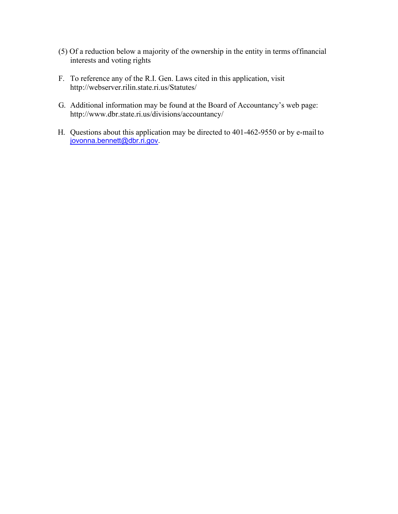- (5) Of a reduction below a majority of the ownership in the entity in terms of financial interests and voting rights
- F. To reference any of the R.I. Gen. Laws cited in this application, visi[t](http://webserver.rilin.state.ri.us/Statutes/) <http://webserver.rilin.state.ri.us/Statutes/>
- G. Additional information may be found at the Board of Accountancy's web page: <http://www.dbr.state.ri.us/divisions/accountancy/>
- H. Questions about this application may be directed to 401-462-9550 or by e-mail to [jovonna.bennett@dbr.ri.gov.](mailto:jovonna.bennett@dbr.ri.gov)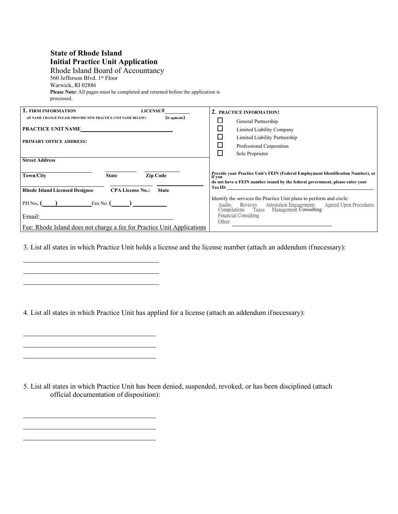## **State of Rhode Island Initial Practice Unit Application**

Rhode Island Board of Accountancy 560 Jefferson Blvd. 1st Floor Warwick, RI 02886 **Please Note:** All pages must be completed and returned before the application is processed.

| 1. FIRM INFORMATION<br>LICENSE#                                                  | 2. PRACTICE INFORMATION:                                                                                                                                                                             |
|----------------------------------------------------------------------------------|------------------------------------------------------------------------------------------------------------------------------------------------------------------------------------------------------|
| (If applicable)<br>(IF NAME CHANGE PLEASE PROVIDE NEW PRACTICE UNIT NAME BELOW)  | General Partnership                                                                                                                                                                                  |
| PRACTICE UNIT NAME                                                               | Limited Liability Company                                                                                                                                                                            |
|                                                                                  | $\mathcal{L}_{\mathcal{A}}$<br>Limited Liability Partnership                                                                                                                                         |
| <b>PRIMARY OFFICE ADDRESS:</b>                                                   | Professional Corporation                                                                                                                                                                             |
|                                                                                  | $\overline{\phantom{a}}$<br>Sole Proprietor                                                                                                                                                          |
| <b>Street Address</b>                                                            |                                                                                                                                                                                                      |
| Town/City<br><b>Zip Code</b><br><b>State</b>                                     | Provide your Practice Unit's FEIN (Federal Employment Identification Number), or<br>if vou<br>do not have a FEIN number issued by the federal government, please enter your                          |
| <b>Rhode Island Licensed Designee</b><br><b>CPA License No.:</b><br><b>State</b> | $\Gamma$ ax ID:                                                                                                                                                                                      |
| $PH No.$ $\left($ $\right)$ $Fax No.$ $\left($ $\right)$                         | Identify the services the Practice Unit plans to perform and circle:<br><b>Attestation Engagements</b><br>Agreed Upon Procedures<br>Reviews<br>Audits<br>Compilations Taxes<br>Management Consulting |
| Email:                                                                           | Financial Consulting                                                                                                                                                                                 |
| Fee: Rhode Island does not charge a fee for Practice Unit Applications           | Other:                                                                                                                                                                                               |

3. List all states in which Practice Unit holds a license and the license number (attach an addendum ifnecessary):

4. List all states in which Practice Unit has applied for a license (attach an addendum ifnecessary):

5. List all states in which Practice Unit has been denied, suspended, revoked, or has been disciplined (attach official documentation of disposition):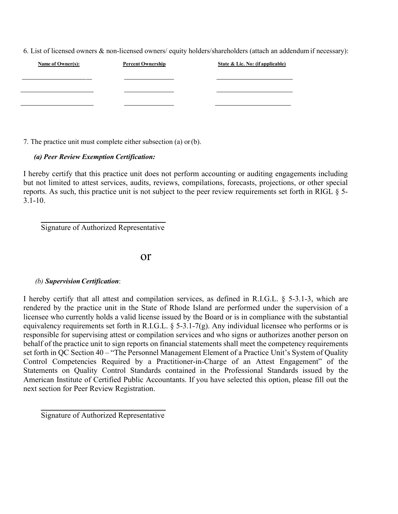6. List of licensed owners & non-licensed owners/ equity holders/shareholders (attach an addendum if necessary):

| Name of Owner(s): | <b>Percent Ownership</b> | State & Lic. No: (if applicable) |
|-------------------|--------------------------|----------------------------------|
|                   |                          |                                  |
|                   |                          |                                  |
|                   |                          |                                  |

7. The practice unit must complete either subsection (a) or (b).

#### *(a) Peer Review Exemption Certification:*

I hereby certify that this practice unit does not perform accounting or auditing engagements including but not limited to attest services, audits, reviews, compilations, forecasts, projections, or other special reports. As such, this practice unit is not subject to the peer review requirements set forth in RIGL § 5-  $3.1 - 10.$ 

Signature of Authorized Representative

or

#### *(b) SupervisionCertification*:

I hereby certify that all attest and compilation services, as defined in R.I.G.L. § 5-3.1-3, which are rendered by the practice unit in the State of Rhode Island are performed under the supervision of a licensee who currently holds a valid license issued by the Board or is in compliance with the substantial equivalency requirements set forth in R.I.G.L. § 5-3.1-7(g). Any individual licensee who performs or is responsible for supervising attest or compilation services and who signs or authorizes another person on behalf of the practice unit to sign reports on financial statements shall meet the competency requirements set forth in QC Section 40 – "The Personnel Management Element of a Practice Unit's System of Quality Control Competencies Required by a Practitioner-in-Charge of an Attest Engagement" of the Statements on Quality Control Standards contained in the Professional Standards issued by the American Institute of Certified Public Accountants. If you have selected this option, please fill out the next section for Peer Review Registration.

Signature of Authorized Representative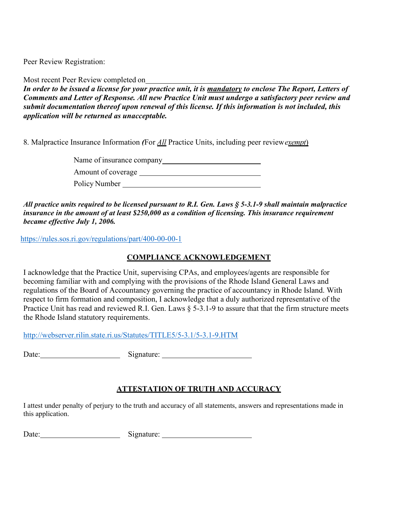Peer Review Registration:

Most recent Peer Review completed on

*In order to be issued a license for your practice unit, it is mandatory to enclose The Report, Letters of Comments and Letter of Response. All new Practice Unit must undergo a satisfactory peer review and submit documentation thereof upon renewal of this license. If this information is not included, this application will be returned as unacceptable.*

8. Malpractice Insurance Information *(*For *All* Practice Units, including peer review*exempt*)

Name of insurance company

Amount of coverage

Policy Number

*All practice units required to be licensed pursuant to R.I. Gen. Laws § 5-3.1-9 shall maintain malpractice insurance in the amount of at least \$250,000 as a condition of licensing. This insurance requirement became effective July 1, 2006.* 

<https://rules.sos.ri.gov/regulations/part/400-00-00-1>

## **COMPLIANCE ACKNOWLEDGEMENT**

I acknowledge that the Practice Unit, supervising CPAs, and employees/agents are responsible for becoming familiar with and complying with the provisions of the Rhode Island General Laws and regulations of the Board of Accountancy governing the practice of accountancy in Rhode Island. With respect to firm formation and composition, I acknowledge that a duly authorized representative of the Practice Unit has read and reviewed R.I. Gen. Laws § 5-3.1-9 to assure that that the firm structure meets the Rhode Island statutory requirements.

<http://webserver.rilin.state.ri.us/Statutes/TITLE5/5-3.1/5-3.1-9.HTM>

Date: Signature:

## **ATTESTATION OF TRUTH AND ACCURACY**

I attest under penalty of perjury to the truth and accuracy of all statements, answers and representations made in this application.

Date: Signature: Signature: